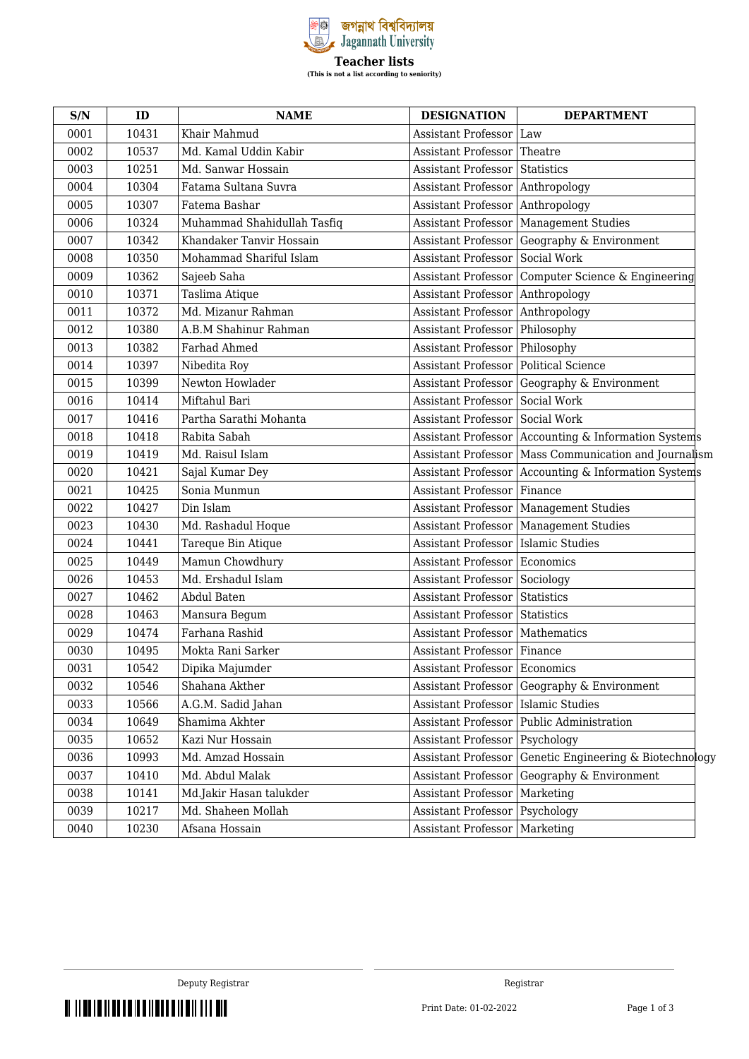

| S/N  | ID    | <b>NAME</b>                 | <b>DESIGNATION</b>            | <b>DEPARTMENT</b>                                       |
|------|-------|-----------------------------|-------------------------------|---------------------------------------------------------|
| 0001 | 10431 | Khair Mahmud                | <b>Assistant Professor</b>    | Law                                                     |
| 0002 | 10537 | Md. Kamal Uddin Kabir       | <b>Assistant Professor</b>    | Theatre                                                 |
| 0003 | 10251 | Md. Sanwar Hossain          | <b>Assistant Professor</b>    | <b>Statistics</b>                                       |
| 0004 | 10304 | Fatama Sultana Suvra        | Assistant Professor           | Anthropology                                            |
| 0005 | 10307 | Fatema Bashar               | Assistant Professor           | Anthropology                                            |
| 0006 | 10324 | Muhammad Shahidullah Tasfiq | <b>Assistant Professor</b>    | Management Studies                                      |
| 0007 | 10342 | Khandaker Tanvir Hossain    | <b>Assistant Professor</b>    | Geography & Environment                                 |
| 0008 | 10350 | Mohammad Shariful Islam     | <b>Assistant Professor</b>    | Social Work                                             |
| 0009 | 10362 | Sajeeb Saha                 | <b>Assistant Professor</b>    | Computer Science & Engineering                          |
| 0010 | 10371 | Taslima Atique              | <b>Assistant Professor</b>    | Anthropology                                            |
| 0011 | 10372 | Md. Mizanur Rahman          | <b>Assistant Professor</b>    | Anthropology                                            |
| 0012 | 10380 | A.B.M Shahinur Rahman       | <b>Assistant Professor</b>    | Philosophy                                              |
| 0013 | 10382 | Farhad Ahmed                | Assistant Professor           | Philosophy                                              |
| 0014 | 10397 | Nibedita Roy                | <b>Assistant Professor</b>    | Political Science                                       |
| 0015 | 10399 | Newton Howlader             | <b>Assistant Professor</b>    | Geography & Environment                                 |
| 0016 | 10414 | Miftahul Bari               | <b>Assistant Professor</b>    | Social Work                                             |
| 0017 | 10416 | Partha Sarathi Mohanta      | <b>Assistant Professor</b>    | Social Work                                             |
| 0018 | 10418 | Rabita Sabah                | <b>Assistant Professor</b>    | Accounting & Information Systems                        |
| 0019 | 10419 | Md. Raisul Islam            |                               | Assistant Professor   Mass Communication and Journalism |
| 0020 | 10421 | Sajal Kumar Dey             | <b>Assistant Professor</b>    | Accounting & Information Systems                        |
| 0021 | 10425 | Sonia Munmun                | <b>Assistant Professor</b>    | Finance                                                 |
| 0022 | 10427 | Din Islam                   |                               | Assistant Professor   Management Studies                |
| 0023 | 10430 | Md. Rashadul Hoque          | <b>Assistant Professor</b>    | <b>Management Studies</b>                               |
| 0024 | 10441 | Tareque Bin Atique          | Assistant Professor           | Islamic Studies                                         |
| 0025 | 10449 | Mamun Chowdhury             | <b>Assistant Professor</b>    | Economics                                               |
| 0026 | 10453 | Md. Ershadul Islam          | <b>Assistant Professor</b>    | Sociology                                               |
| 0027 | 10462 | Abdul Baten                 | <b>Assistant Professor</b>    | Statistics                                              |
| 0028 | 10463 | Mansura Begum               | <b>Assistant Professor</b>    | <b>Statistics</b>                                       |
| 0029 | 10474 | Farhana Rashid              | <b>Assistant Professor</b>    | Mathematics                                             |
| 0030 | 10495 | Mokta Rani Sarker           | Assistant Professor   Finance |                                                         |
| 0031 | 10542 | Dipika Majumder             | Assistant Professor Economics |                                                         |
| 0032 | 10546 | Shahana Akther              | Assistant Professor           | Geography & Environment                                 |
| 0033 | 10566 | A.G.M. Sadid Jahan          | <b>Assistant Professor</b>    | <b>Islamic Studies</b>                                  |
| 0034 | 10649 | Shamima Akhter              | <b>Assistant Professor</b>    | Public Administration                                   |
| 0035 | 10652 | Kazi Nur Hossain            | Assistant Professor           | Psychology                                              |
| 0036 | 10993 | Md. Amzad Hossain           | <b>Assistant Professor</b>    | Genetic Engineering & Biotechnology                     |
| 0037 | 10410 | Md. Abdul Malak             | Assistant Professor           | Geography & Environment                                 |
| 0038 | 10141 | Md.Jakir Hasan talukder     | <b>Assistant Professor</b>    | Marketing                                               |
| 0039 | 10217 | Md. Shaheen Mollah          | Assistant Professor           | Psychology                                              |
| 0040 | 10230 | Afsana Hossain              | Assistant Professor           | Marketing                                               |

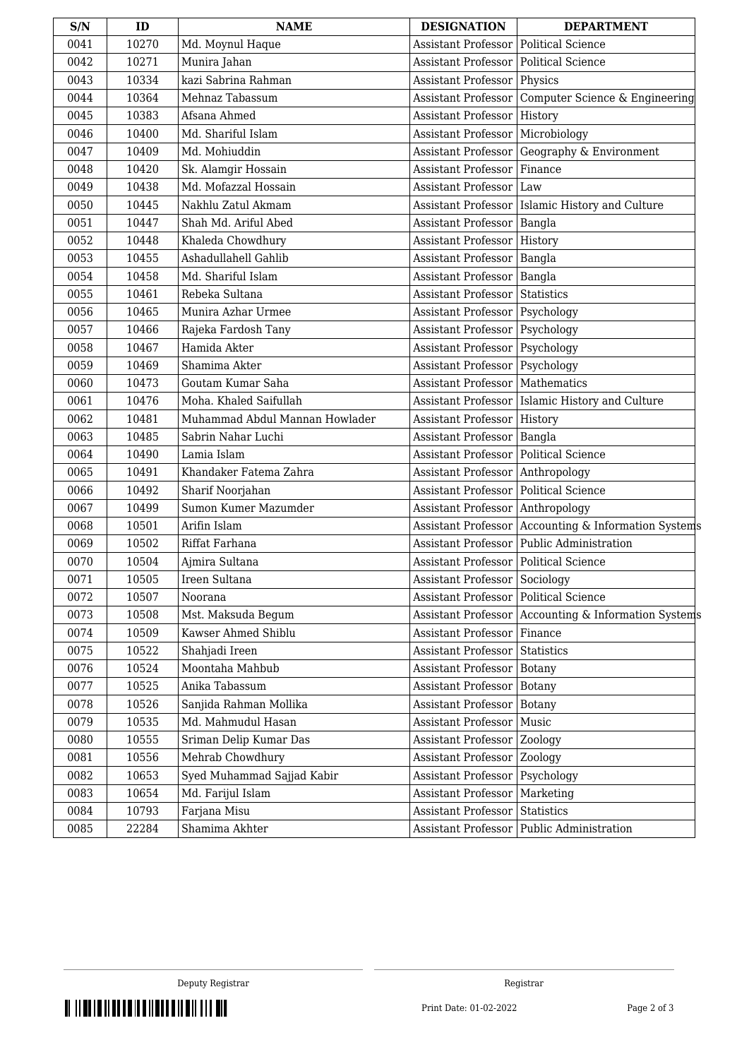| S/N  | ID    | <b>NAME</b>                    | <b>DESIGNATION</b>                      | <b>DEPARTMENT</b>                                 |
|------|-------|--------------------------------|-----------------------------------------|---------------------------------------------------|
| 0041 | 10270 | Md. Moynul Haque               | <b>Assistant Professor</b>              | Political Science                                 |
| 0042 | 10271 | Munira Jahan                   | <b>Assistant Professor</b>              | Political Science                                 |
| 0043 | 10334 | kazi Sabrina Rahman            | <b>Assistant Professor</b>              | Physics                                           |
| 0044 | 10364 | Mehnaz Tabassum                | Assistant Professor                     | Computer Science & Engineering                    |
| 0045 | 10383 | Afsana Ahmed                   | <b>Assistant Professor</b>              | History                                           |
| 0046 | 10400 | Md. Shariful Islam             | <b>Assistant Professor</b>              | Microbiology                                      |
| 0047 | 10409 | Md. Mohiuddin                  | Assistant Professor                     | Geography & Environment                           |
| 0048 | 10420 | Sk. Alamgir Hossain            | <b>Assistant Professor</b>              | Finance                                           |
| 0049 | 10438 | Md. Mofazzal Hossain           | <b>Assistant Professor</b>              | Law                                               |
| 0050 | 10445 | Nakhlu Zatul Akmam             |                                         | Assistant Professor   Islamic History and Culture |
| 0051 | 10447 | Shah Md. Ariful Abed           | <b>Assistant Professor</b>              | Bangla                                            |
| 0052 | 10448 | Khaleda Chowdhury              | Assistant Professor                     | History                                           |
| 0053 | 10455 | Ashadullahell Gahlib           | <b>Assistant Professor</b>              | Bangla                                            |
| 0054 | 10458 | Md. Shariful Islam             | <b>Assistant Professor</b>              | Bangla                                            |
| 0055 | 10461 | Rebeka Sultana                 | Assistant Professor                     | Statistics                                        |
| 0056 | 10465 | Munira Azhar Urmee             | Assistant Professor   Psychology        |                                                   |
| 0057 | 10466 | Rajeka Fardosh Tany            | <b>Assistant Professor</b>              | Psychology                                        |
| 0058 | 10467 | Hamida Akter                   | Assistant Professor                     | <b>Psychology</b>                                 |
| 0059 | 10469 | Shamima Akter                  | <b>Assistant Professor</b>              | Psychology                                        |
| 0060 | 10473 | Goutam Kumar Saha              | <b>Assistant Professor</b>              | Mathematics                                       |
| 0061 | 10476 | Moha. Khaled Saifullah         |                                         | Assistant Professor   Islamic History and Culture |
| 0062 | 10481 | Muhammad Abdul Mannan Howlader | <b>Assistant Professor</b>              | History                                           |
| 0063 | 10485 | Sabrin Nahar Luchi             | Assistant Professor                     | Bangla                                            |
| 0064 | 10490 | Lamia Islam                    | <b>Assistant Professor</b>              | Political Science                                 |
| 0065 | 10491 | Khandaker Fatema Zahra         | <b>Assistant Professor</b>              | Anthropology                                      |
| 0066 | 10492 | Sharif Noorjahan               | Assistant Professor                     | Political Science                                 |
| 0067 | 10499 | Sumon Kumer Mazumder           | <b>Assistant Professor</b>              | Anthropology                                      |
| 0068 | 10501 | Arifin Islam                   | <b>Assistant Professor</b>              | Accounting & Information Systems                  |
| 0069 | 10502 | Riffat Farhana                 | Assistant Professor                     | Public Administration                             |
| 0070 | 10504 | Ajmira Sultana                 | Assistant Professor   Political Science |                                                   |
| 0071 | 10505 | Ireen Sultana                  | Assistant Professor Sociology           |                                                   |
| 0072 | 10507 | Noorana                        | Assistant Professor   Political Science |                                                   |
| 0073 | 10508 | Mst. Maksuda Begum             | Assistant Professor                     | Accounting & Information Systems                  |
| 0074 | 10509 | Kawser Ahmed Shiblu            | Assistant Professor                     | Finance                                           |
| 0075 | 10522 | Shahjadi Ireen                 | <b>Assistant Professor</b>              | Statistics                                        |
| 0076 | 10524 | Moontaha Mahbub                | Assistant Professor                     | Botany                                            |
| 0077 | 10525 | Anika Tabassum                 | Assistant Professor                     | <b>Botany</b>                                     |
| 0078 | 10526 | Sanjida Rahman Mollika         | Assistant Professor                     | <b>Botany</b>                                     |
| 0079 | 10535 | Md. Mahmudul Hasan             | <b>Assistant Professor</b>              | Music                                             |
| 0080 | 10555 | Sriman Delip Kumar Das         | Assistant Professor                     | Zoology                                           |
| 0081 | 10556 | Mehrab Chowdhury               | <b>Assistant Professor</b>              | Zoology                                           |
| 0082 | 10653 | Syed Muhammad Sajjad Kabir     | Assistant Professor                     | Psychology                                        |
| 0083 | 10654 | Md. Farijul Islam              | Assistant Professor                     | Marketing                                         |
| 0084 | 10793 | Farjana Misu                   | <b>Assistant Professor</b>              | Statistics                                        |
| 0085 | 22284 | Shamima Akhter                 | Assistant Professor                     | Public Administration                             |

THE THE REPORT OF THE REPORT OF THE REPORT OF THE REPORT OF THE REPORT OF THE REPORT OF THE REPORT OF THE REPORT OF THE REPORT OF THE REPORT OF THE REPORT OF THE REPORT OF THE REPORT OF THE REPORT OF THE REPORT OF THE REPO